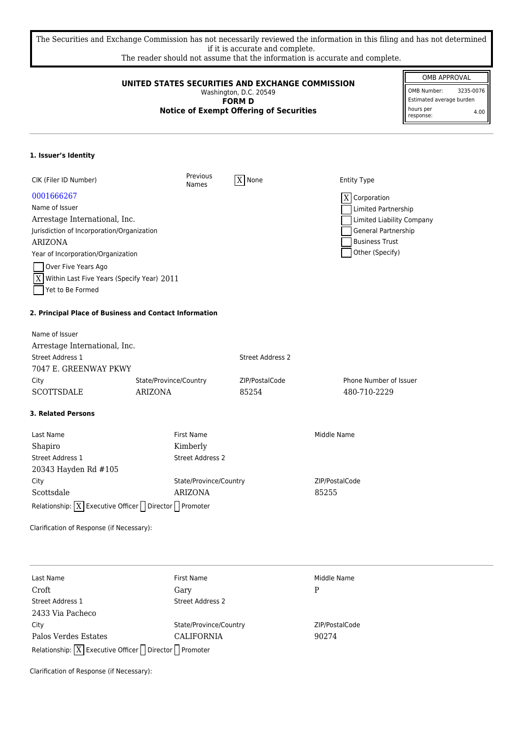The Securities and Exchange Commission has not necessarily reviewed the information in this filing and has not determined if it is accurate and complete.

The reader should not assume that the information is accurate and complete.

| UNITED STATES SECURITIES AND EXCHANGE COMMISSION<br>Washington, D.C. 20549<br><b>FORM D</b><br><b>Notice of Exempt Offering of Securities</b> |                          |                         |                            | OMB APPROVAL<br><b>OMB Number:</b><br>3235-0076<br>Estimated average burden<br>hours per<br>4.00<br>response: |
|-----------------------------------------------------------------------------------------------------------------------------------------------|--------------------------|-------------------------|----------------------------|---------------------------------------------------------------------------------------------------------------|
| 1. Issuer's Identity                                                                                                                          |                          |                         |                            |                                                                                                               |
| CIK (Filer ID Number)                                                                                                                         | Previous<br><b>Names</b> | $ X $ None              | <b>Entity Type</b>         |                                                                                                               |
| 0001666267                                                                                                                                    |                          |                         | $\overline{X}$ Corporation |                                                                                                               |
| Name of Issuer                                                                                                                                |                          |                         | Limited Partnership        |                                                                                                               |
| Arrestage International, Inc.                                                                                                                 |                          |                         | Limited Liability Company  |                                                                                                               |
| Jurisdiction of Incorporation/Organization                                                                                                    |                          |                         | General Partnership        |                                                                                                               |
| <b>ARIZONA</b>                                                                                                                                |                          |                         | <b>Business Trust</b>      |                                                                                                               |
| Year of Incorporation/Organization                                                                                                            |                          |                         | Other (Specify)            |                                                                                                               |
| Over Five Years Ago                                                                                                                           |                          |                         |                            |                                                                                                               |
| Within Last Five Years (Specify Year) 2011<br>X                                                                                               |                          |                         |                            |                                                                                                               |
| Yet to Be Formed                                                                                                                              |                          |                         |                            |                                                                                                               |
| 2. Principal Place of Business and Contact Information                                                                                        |                          |                         |                            |                                                                                                               |
| Name of Issuer                                                                                                                                |                          |                         |                            |                                                                                                               |
| Arrestage International, Inc.                                                                                                                 |                          |                         |                            |                                                                                                               |
| Street Address 1                                                                                                                              |                          | <b>Street Address 2</b> |                            |                                                                                                               |
| 7047 E. GREENWAY PKWY                                                                                                                         |                          |                         |                            |                                                                                                               |
| City                                                                                                                                          | State/Province/Country   | ZIP/PostalCode          | Phone Number of Issuer     |                                                                                                               |
| <b>SCOTTSDALE</b>                                                                                                                             | <b>ARIZONA</b>           | 85254                   | 480-710-2229               |                                                                                                               |
| <b>3. Related Persons</b>                                                                                                                     |                          |                         |                            |                                                                                                               |
| Last Name                                                                                                                                     | <b>First Name</b>        |                         | Middle Name                |                                                                                                               |
| Shapiro                                                                                                                                       | Kimberly                 |                         |                            |                                                                                                               |
| Street Address 1                                                                                                                              | <b>Street Address 2</b>  |                         |                            |                                                                                                               |
| 20343 Hayden Rd #105                                                                                                                          |                          |                         |                            |                                                                                                               |
| City                                                                                                                                          | State/Province/Country   |                         | ZIP/PostalCode             |                                                                                                               |
| Scottsdale                                                                                                                                    | <b>ARIZONA</b>           |                         | 85255                      |                                                                                                               |
| Relationship: $\boxed{X}$ Executive Officer $\boxed{\phantom{a}}$ Director $\boxed{\phantom{a}}$ Promoter                                     |                          |                         |                            |                                                                                                               |
| Clarification of Response (if Necessary):                                                                                                     |                          |                         |                            |                                                                                                               |
|                                                                                                                                               |                          |                         |                            |                                                                                                               |
| Last Name                                                                                                                                     | First Name               |                         | Middle Name                |                                                                                                               |
| Croft                                                                                                                                         | Gary                     |                         | P                          |                                                                                                               |
| Street Address 1                                                                                                                              | Street Address 2         |                         |                            |                                                                                                               |
| 2433 Via Pacheco                                                                                                                              |                          |                         |                            |                                                                                                               |
| City                                                                                                                                          | State/Province/Country   |                         | ZIP/PostalCode             |                                                                                                               |
| Palos Verdes Estates                                                                                                                          | CALIFORNIA               |                         | 90274                      |                                                                                                               |
| Relationship: $\boxed{X}$ Executive Officer $\boxed{\phantom{a}}$ Director $\boxed{\phantom{a}}$ Promoter                                     |                          |                         |                            |                                                                                                               |

Clarification of Response (if Necessary):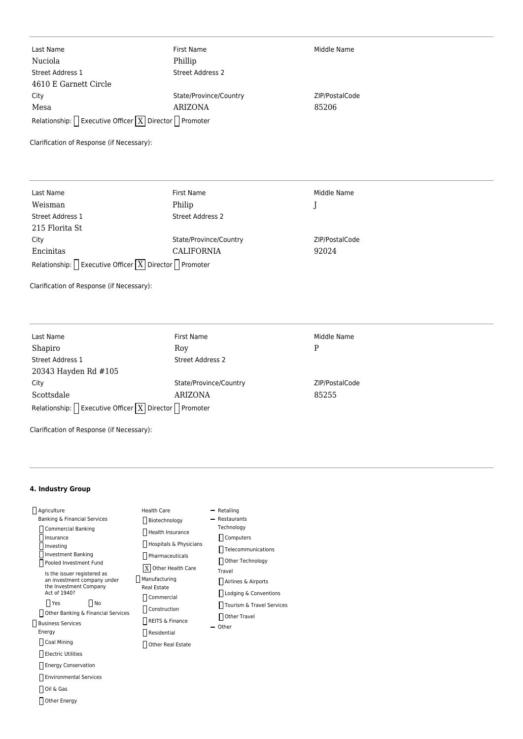| Last Name                                                                                        | First Name             | Middle Name    |
|--------------------------------------------------------------------------------------------------|------------------------|----------------|
| Nuciola                                                                                          | Phillip                |                |
| Street Address 1                                                                                 | Street Address 2       |                |
| 4610 E Garnett Circle                                                                            |                        |                |
| City                                                                                             | State/Province/Country | ZIP/PostalCode |
| Mesa                                                                                             | <b>ARIZONA</b>         | 85206          |
| Relationship: $\bigcap$ Executive Officer $\big  \overline{X} \big $ Director $\bigcap$ Promoter |                        |                |

Clarification of Response (if Necessary):

| Last Name                                                                             | First Name              | Middle Name    |  |  |
|---------------------------------------------------------------------------------------|-------------------------|----------------|--|--|
| Weisman                                                                               | Philip                  |                |  |  |
| Street Address 1                                                                      | <b>Street Address 2</b> |                |  |  |
| 215 Florita St                                                                        |                         |                |  |  |
| City                                                                                  | State/Province/Country  | ZIP/PostalCode |  |  |
| Encinitas                                                                             | CALIFORNIA              | 92024          |  |  |
| Relationship: $\bigcap$ Executive Officer $\big  X \big $ Director $\bigcap$ Promoter |                         |                |  |  |

Clarification of Response (if Necessary):

| Last Name                                                                         | First Name             | Middle Name    |  |
|-----------------------------------------------------------------------------------|------------------------|----------------|--|
| Shapiro                                                                           | Roy                    | P              |  |
| Street Address 1                                                                  | Street Address 2       |                |  |
| 20343 Hayden Rd #105                                                              |                        |                |  |
| City                                                                              | State/Province/Country | ZIP/PostalCode |  |
| Scottsdale                                                                        | ARIZONA                | 85255          |  |
| Relationship: $\bigcap$ Executive Officer $\boxed{X}$ Director $\bigcap$ Promoter |                        |                |  |

Clarification of Response (if Necessary):

## **4. Industry Group**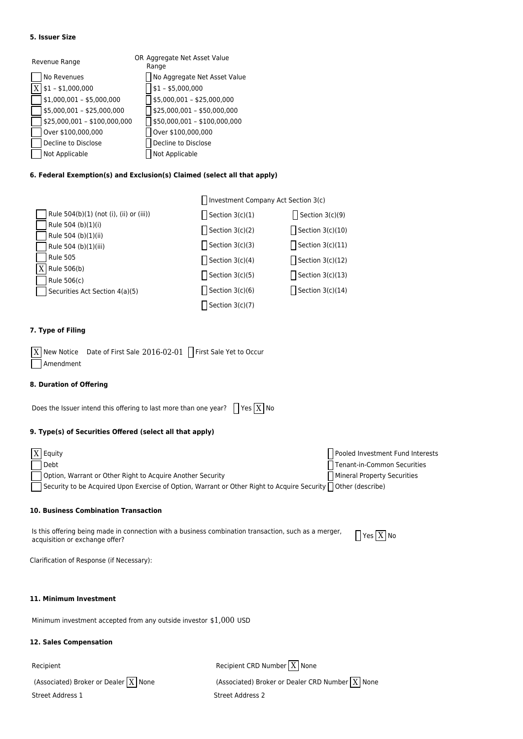#### **5. Issuer Size**

| Revenue Range |                              | OR Aggregate Net Asset Value<br>Range |                              |  |
|---------------|------------------------------|---------------------------------------|------------------------------|--|
|               | No Revenues                  |                                       | No Aggregate Net Asset Value |  |
|               | $$1 - $1,000,000$            |                                       | $$1 - $5,000,000$            |  |
|               | $$1,000,001 - $5,000,000$    |                                       | \$5,000,001 - \$25,000,000   |  |
|               | $$5,000,001 - $25,000,000$   |                                       | \$25,000,001 - \$50,000,000  |  |
|               | $$25,000,001 - $100,000,000$ |                                       | \$50,000,001 - \$100,000,000 |  |
|               | Over \$100,000,000           |                                       | Over \$100,000,000           |  |
|               | Decline to Disclose          |                                       | Decline to Disclose          |  |
|               | Not Applicable               |                                       | Not Applicable               |  |

## **6. Federal Exemption(s) and Exclusion(s) Claimed (select all that apply)**

|                                           | Investment Company Act Section 3(c) |                    |
|-------------------------------------------|-------------------------------------|--------------------|
| Rule 504(b)(1) (not (i), (ii) or (iii))   | Section $3(c)(1)$                   | Section $3(c)(9)$  |
| Rule 504 (b)(1)(i)<br>Rule 504 (b)(1)(ii) | Section $3(c)(2)$                   | Section $3(c)(10)$ |
| Rule 504 (b)(1)(iii)                      | Section $3(c)(3)$                   | Section $3(c)(11)$ |
| <b>Rule 505</b>                           | Section $3(c)(4)$                   | Section $3(c)(12)$ |
| $X$ Rule 506(b)<br>Rule 506(c)            | Section $3(c)(5)$                   | Section $3(c)(13)$ |
| Securities Act Section 4(a)(5)            | Section $3(c)(6)$                   | Section $3(c)(14)$ |
|                                           | Section $3(c)(7)$                   |                    |

## **7. Type of Filing**

|           | $\boxed{\text{X}}$ New Notice Date of First Sale 2016-02-01 $\boxed{\phantom{1}}$ First Sale Yet to Occur |  |
|-----------|-----------------------------------------------------------------------------------------------------------|--|
| Amendment |                                                                                                           |  |

#### **8. Duration of Offering**

Does the Issuer intend this offering to last more than one year?  $\left[\right]$  Yes  $\boxed{X}$  No

## **9. Type(s) of Securities Offered (select all that apply)**

| $\overline{X}$ Equity |                                                                                                                | Pooled Investment Fund Interests |
|-----------------------|----------------------------------------------------------------------------------------------------------------|----------------------------------|
|                       | Debt                                                                                                           | Tenant-in-Common Securities      |
|                       | Option, Warrant or Other Right to Acquire Another Security                                                     | Mineral Property Securities      |
|                       | Security to be Acquired Upon Exercise of Option, Warrant or Other Right to Acquire Security ∏ Other (describe) |                                  |

#### **10. Business Combination Transaction**

Is this offering being made in connection with a business combination transaction, such as a merger,  $\Box$  Yes  $\boxed{\mathrm{X}}$  No  $\Box$ 

Clarification of Response (if Necessary):

#### **11. Minimum Investment**

Minimum investment accepted from any outside investor \$1,000 USD

## **12. Sales Compensation**

**Street Address 1** Street Address 2

Recipient  $\Box$  None

(Associated) Broker or Dealer  $\boxed{X}$  None (Associated) Broker or Dealer CRD Number  $\boxed{X}$  None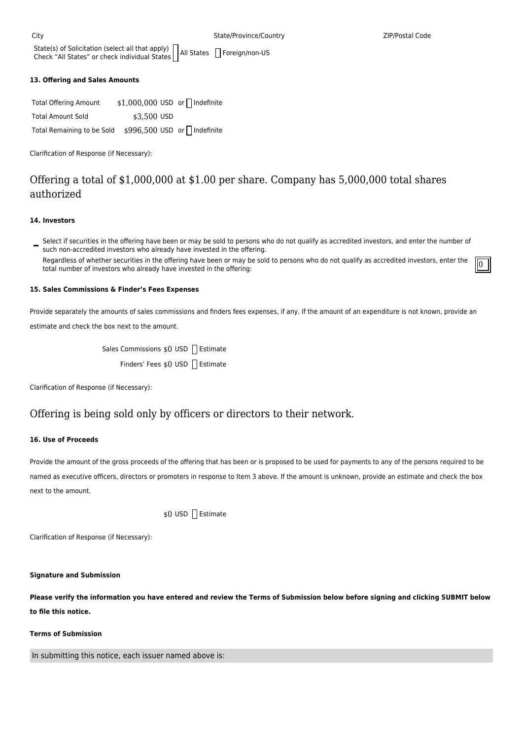State(s) of Solicitation (select all that apply) State(s) of Solicitation (select all that apply) ||All States || Foreign/non-US<br>Check "All States" or check individual States ||All States || Foreign/non-US

#### **13. Offering and Sales Amounts**

| <b>Total Offering Amount</b> | $$1,000,000$ USD or $\Box$ Indefinite |  |
|------------------------------|---------------------------------------|--|
| <b>Total Amount Sold</b>     | \$3.500 USD                           |  |
| Total Remaining to be Sold   | \$996,500 USD or   Indefinite         |  |

Clarification of Response (if Necessary):

# Offering a total of \$1,000,000 at \$1.00 per share. Company has 5,000,000 total shares authorized

#### **14. Investors**

Select if securities in the offering have been or may be sold to persons who do not qualify as accredited investors, and enter the number of such non-accredited investors who already have invested in the offering. Regardless of whether securities in the offering have been or may be sold to persons who do not qualify as accredited investors, enter the Regardiess of whether securities in the offering have been or may be sold to persons who do not qualify as accredited investors, enter the  $\|0\|$ 

#### **15. Sales Commissions & Finder's Fees Expenses**

Provide separately the amounts of sales commissions and finders fees expenses, if any. If the amount of an expenditure is not known, provide an estimate and check the box next to the amount.

| Sales Commissions \$0 USD   Estimate |  |  |
|--------------------------------------|--|--|
| Finders' Fees \$0 USD Estimate       |  |  |

Clarification of Response (if Necessary):

# Offering is being sold only by officers or directors to their network.

## **16. Use of Proceeds**

Provide the amount of the gross proceeds of the offering that has been or is proposed to be used for payments to any of the persons required to be named as executive officers, directors or promoters in response to Item 3 above. If the amount is unknown, provide an estimate and check the box next to the amount.

\$0 USD Estimate

Clarification of Response (if Necessary):

#### **Signature and Submission**

**Please verify the information you have entered and review the Terms of Submission below before signing and clicking SUBMIT below to file this notice.**

#### **Terms of Submission**

In submitting this notice, each issuer named above is: